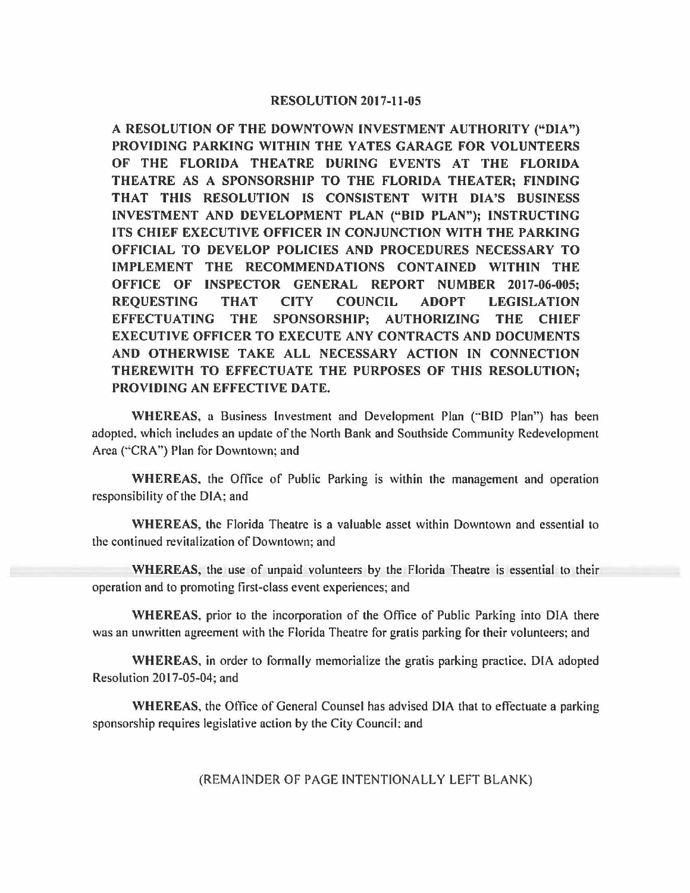## **RESOLUTION 2017-11-05**

**A RESOLUTION OF THE DOWNTOWN INVESTMENT AUTHORITY ("DIA") PROVIDING PARKING WITHIN THE YATES GARAGE FOR VOLUNTEERS OF THE FLORIDA THEATRE DURING EVENTS AT THE FLORIDA THEATRE AS A SPONSORSHIP TO THE FLORIDA THEATER; FINDING THAT THIS RESOLUTION IS CONSISTENT WITH DIA'S BUSINESS INVESTMENT AND DEVELOPMENT PLAN ("BID PLAN"); INSTRUCTING ITS CHIEF EXECUTIVE OFFICER IN CONJUNCTION WITH THE PARKING OFFICIAL TO DEVELOP POLICIES AND PROCEDURES NECESSARY TO IMPLEMENT THE RECOMMENDATIONS CONTAINED WITHIN THE OFFICE OF INSPECTOR GENERAL REPORT NUMBER 2017-06-005; REQUESTING THAT CITY COUNCIL ADOPT LEGISLATION EFFECTUATING THE SPONSORSHIP; AUTHORIZING THE CHIEF EXECUTIVE OFFICER TO EXECUTE ANY CONTRACTS AND DOCUMENTS AND OTHERWISE TAKE ALL NECESSARY ACTION IN CONNECTION THEREWITH TO EFFECTUATE THE PURPOSES OF THIS RESOLUTION; PROVIDING AN EFFECTIVE DATE.** 

**WHEREAS,** a Business Investment and Development Plan ("BID Plan") has been adopted, which includes an update of the North Bank and Southside Community Redevelopment Area (''CRA") Plan for Downtown; and

**WHEREAS.** the Office of Public Parking is within the management and operation responsibility of the DIA; and

**WHEREAS,** the Florida Theatre is a valuable asset within Downtown and essential to the continued revitalization of Downtown; and

**WHEREAS,** the use of unpaid volunteers by the Florida Theatre is essential to their operation and to promoting first-class event experiences; and

**WHEREAS,** prior to the incorporation of the Office of Public Parking into DIA there was an unwritten agreement with the Florida Theatre for gratis parking for their volunteers; and

**WHEREAS,** in order to formally memorialize the gratis parking practice. DIA adopted Resolution 2017-05-04; and

**WHEREAS,** the Office of General Counsel has advised DIA that to effectuate a parking sponsorship requires legislative action by the City Council: and

(REMAINDER OF PAGE INTENTIONALLY LEFT BLANK)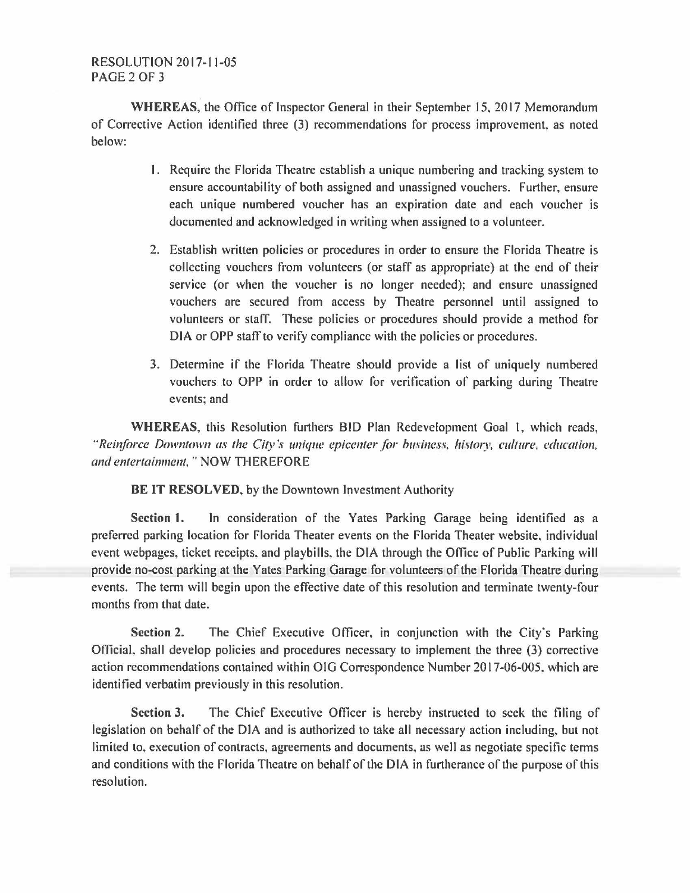**WHEREAS,** the Office of Inspector General in their September 15, 2017 Memorandum of Corrective Action identified three (3) recommendations for process improvement, as noted below:

- I. Require the Florida Theatre establish a unique numbering and tracking system to ensure accountability of both assigned and unassigned vouchers. Further, ensure each unique numbered voucher has an expiration date and each voucher is documented and acknowledged in writing when assigned to a volunteer.
- 2. Establish written policies or procedures in order to ensure the Florida Theatre is collecting vouchers from volunteers (or staff as appropriate) at the end of their service (or when the voucher is no longer needed); and ensure unassigned vouchers are secured from access by Theatre personnel until assigned to volunteers or staff. These policies or procedures should provide a method for DIA or OPP staff to verify compliance with the policies or procedures.
- 3. Detennine if the Florida Theatre should provide a list of uniquely numbered vouchers to OPP in order to allow for verification of parking during Theatre events; and

**WHEREAS,** this Resolution furthers BID Plan Redevelopment Goal I, which reads, *"Reinforce Downtown as the City':; unique epicenter for business, history, culture. education, and entertainment,* "NOW THEREFORE

**BE IT RESOLVED,** by the Downtown Investment Authority

**Section 1.** In consideration of the Yates Parking Garage being identified as a preferred parking location for Florida Theater events on the Florida Theater website, individual event webpages, ticket receipts, and playbills, the DIA through the Office of Public Parking will provide no-cost parking at the Yates Parking Garage for volunteers of the Florida Theatre during events. The term will begin upon the effective date of this resolution and terminate twenty-four months from that date.

**Section 2.** The Chief Executive Officer, in conjunction with the City's Parking Official, shall develop policies and procedures necessary to implement the three (3) corrective action recommendations contained within OIG Correspondence Number 2017-06-005. which are identified verbatim previously in this resolution.

**Section 3.** The Chief Executive Officer is hereby instructed to seek the filing of legislation on behalf of the DIA and is authorized to take all necessary action including, but not limited to, execution of contracts, agreements and documents, as well as negotiate specific tenns and conditions with the Florida Theatre on behalf of the DIA in furtherance of the purpose of this resolution.